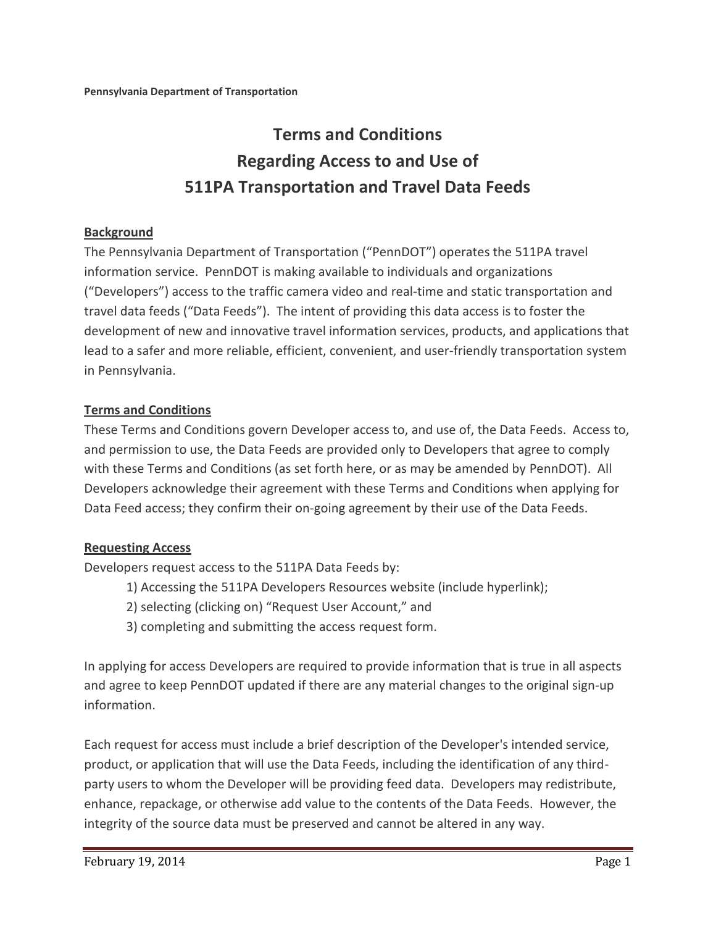# **Terms and Conditions Regarding Access to and Use of 511PA Transportation and Travel Data Feeds**

#### **Background**

The Pennsylvania Department of Transportation ("PennDOT") operates the 511PA travel information service. PennDOT is making available to individuals and organizations ("Developers") access to the traffic camera video and real-time and static transportation and travel data feeds ("Data Feeds"). The intent of providing this data access is to foster the development of new and innovative travel information services, products, and applications that lead to a safer and more reliable, efficient, convenient, and user-friendly transportation system in Pennsylvania.

#### **Terms and Conditions**

These Terms and Conditions govern Developer access to, and use of, the Data Feeds. Access to, and permission to use, the Data Feeds are provided only to Developers that agree to comply with these Terms and Conditions (as set forth here, or as may be amended by PennDOT). All Developers acknowledge their agreement with these Terms and Conditions when applying for Data Feed access; they confirm their on-going agreement by their use of the Data Feeds.

#### **Requesting Access**

Developers request access to the 511PA Data Feeds by:

- 1) Accessing the 511PA Developers Resources website (include hyperlink);
- 2) selecting (clicking on) "Request User Account," and
- 3) completing and submitting the access request form.

In applying for access Developers are required to provide information that is true in all aspects and agree to keep PennDOT updated if there are any material changes to the original sign-up information.

Each request for access must include a brief description of the Developer's intended service, product, or application that will use the Data Feeds, including the identification of any thirdparty users to whom the Developer will be providing feed data. Developers may redistribute, enhance, repackage, or otherwise add value to the contents of the Data Feeds. However, the integrity of the source data must be preserved and cannot be altered in any way.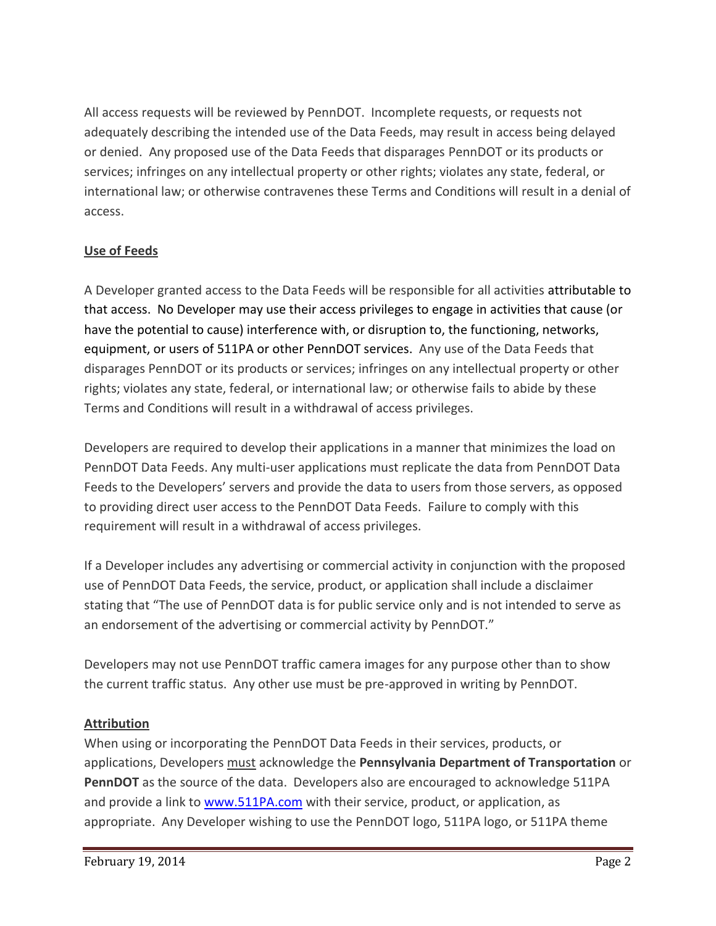All access requests will be reviewed by PennDOT. Incomplete requests, or requests not adequately describing the intended use of the Data Feeds, may result in access being delayed or denied. Any proposed use of the Data Feeds that disparages PennDOT or its products or services; infringes on any intellectual property or other rights; violates any state, federal, or international law; or otherwise contravenes these Terms and Conditions will result in a denial of access.

## **Use of Feeds**

A Developer granted access to the Data Feeds will be responsible for all activities attributable to that access. No Developer may use their access privileges to engage in activities that cause (or have the potential to cause) interference with, or disruption to, the functioning, networks, equipment, or users of 511PA or other PennDOT services. Any use of the Data Feeds that disparages PennDOT or its products or services; infringes on any intellectual property or other rights; violates any state, federal, or international law; or otherwise fails to abide by these Terms and Conditions will result in a withdrawal of access privileges.

Developers are required to develop their applications in a manner that minimizes the load on PennDOT Data Feeds. Any multi-user applications must replicate the data from PennDOT Data Feeds to the Developers' servers and provide the data to users from those servers, as opposed to providing direct user access to the PennDOT Data Feeds. Failure to comply with this requirement will result in a withdrawal of access privileges.

If a Developer includes any advertising or commercial activity in conjunction with the proposed use of PennDOT Data Feeds, the service, product, or application shall include a disclaimer stating that "The use of PennDOT data is for public service only and is not intended to serve as an endorsement of the advertising or commercial activity by PennDOT."

Developers may not use PennDOT traffic camera images for any purpose other than to show the current traffic status. Any other use must be pre-approved in writing by PennDOT.

#### **Attribution**

When using or incorporating the PennDOT Data Feeds in their services, products, or applications, Developers must acknowledge the **Pennsylvania Department of Transportation** or **PennDOT** as the source of the data. Developers also are encouraged to acknowledge 511PA and provide a link to www.511PA.com with their service, product, or application, as appropriate. Any Developer wishing to use the PennDOT logo, 511PA logo, or 511PA theme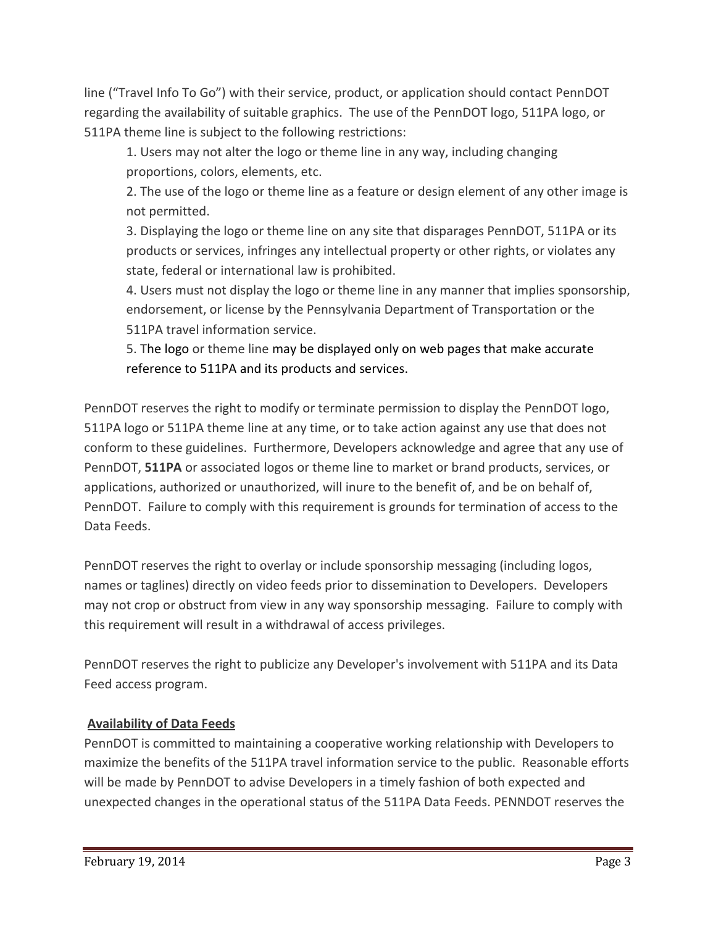line ("Travel Info To Go") with their service, product, or application should contact PennDOT regarding the availability of suitable graphics. The use of the PennDOT logo, 511PA logo, or 511PA theme line is subject to the following restrictions:

1. Users may not alter the logo or theme line in any way, including changing proportions, colors, elements, etc.

2. The use of the logo or theme line as a feature or design element of any other image is not permitted.

3. Displaying the logo or theme line on any site that disparages PennDOT, 511PA or its products or services, infringes any intellectual property or other rights, or violates any state, federal or international law is prohibited.

4. Users must not display the logo or theme line in any manner that implies sponsorship, endorsement, or license by the Pennsylvania Department of Transportation or the 511PA travel information service.

5. The logo or theme line may be displayed only on web pages that make accurate reference to 511PA and its products and services.

PennDOT reserves the right to modify or terminate permission to display the PennDOT logo, 511PA logo or 511PA theme line at any time, or to take action against any use that does not conform to these guidelines. Furthermore, Developers acknowledge and agree that any use of PennDOT, **511PA** or associated logos or theme line to market or brand products, services, or applications, authorized or unauthorized, will inure to the benefit of, and be on behalf of, PennDOT. Failure to comply with this requirement is grounds for termination of access to the Data Feeds.

PennDOT reserves the right to overlay or include sponsorship messaging (including logos, names or taglines) directly on video feeds prior to dissemination to Developers. Developers may not crop or obstruct from view in any way sponsorship messaging. Failure to comply with this requirement will result in a withdrawal of access privileges.

PennDOT reserves the right to publicize any Developer's involvement with 511PA and its Data Feed access program.

#### **Availability of Data Feeds**

PennDOT is committed to maintaining a cooperative working relationship with Developers to maximize the benefits of the 511PA travel information service to the public. Reasonable efforts will be made by PennDOT to advise Developers in a timely fashion of both expected and unexpected changes in the operational status of the 511PA Data Feeds. PENNDOT reserves the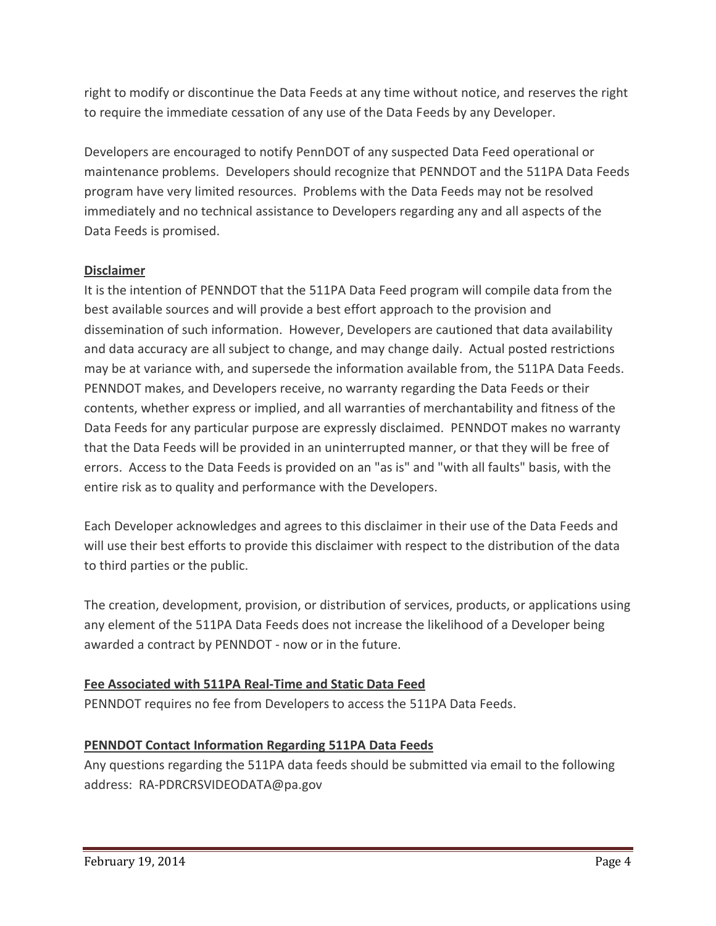right to modify or discontinue the Data Feeds at any time without notice, and reserves the right to require the immediate cessation of any use of the Data Feeds by any Developer.

Developers are encouraged to notify PennDOT of any suspected Data Feed operational or maintenance problems. Developers should recognize that PENNDOT and the 511PA Data Feeds program have very limited resources. Problems with the Data Feeds may not be resolved immediately and no technical assistance to Developers regarding any and all aspects of the Data Feeds is promised.

### **Disclaimer**

It is the intention of PENNDOT that the 511PA Data Feed program will compile data from the best available sources and will provide a best effort approach to the provision and dissemination of such information. However, Developers are cautioned that data availability and data accuracy are all subject to change, and may change daily. Actual posted restrictions may be at variance with, and supersede the information available from, the 511PA Data Feeds. PENNDOT makes, and Developers receive, no warranty regarding the Data Feeds or their contents, whether express or implied, and all warranties of merchantability and fitness of the Data Feeds for any particular purpose are expressly disclaimed. PENNDOT makes no warranty that the Data Feeds will be provided in an uninterrupted manner, or that they will be free of errors. Access to the Data Feeds is provided on an "as is" and "with all faults" basis, with the entire risk as to quality and performance with the Developers.

Each Developer acknowledges and agrees to this disclaimer in their use of the Data Feeds and will use their best efforts to provide this disclaimer with respect to the distribution of the data to third parties or the public.

The creation, development, provision, or distribution of services, products, or applications using any element of the 511PA Data Feeds does not increase the likelihood of a Developer being awarded a contract by PENNDOT - now or in the future.

## **Fee Associated with 511PA Real-Time and Static Data Feed**

PENNDOT requires no fee from Developers to access the 511PA Data Feeds.

## **PENNDOT Contact Information Regarding 511PA Data Feeds**

Any questions regarding the 511PA data feeds should be submitted via email to the following address: RA-PDRCRSVIDEODATA@pa.gov